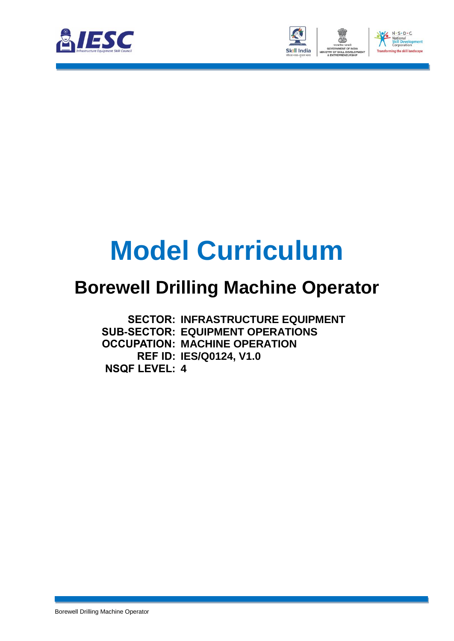



# **Model Curriculum**

### **Borewell Drilling Machine Operator**

**SECTOR: INFRASTRUCTURE EQUIPMENT SUB-SECTOR: EQUIPMENT OPERATIONS OCCUPATION: MACHINE OPERATION REF ID: IES/Q0124, V1.0 NSQF LEVEL: 4**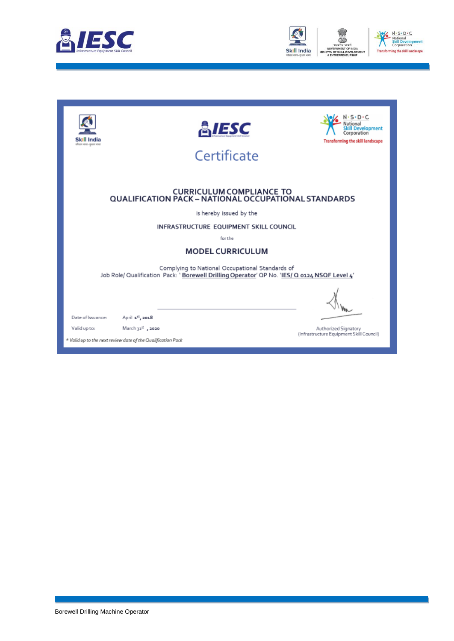



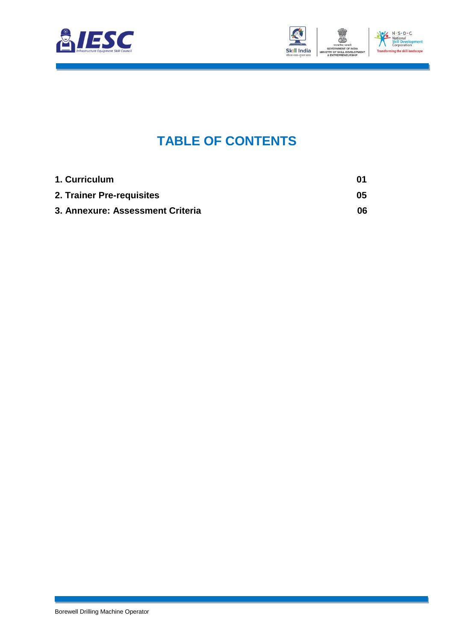



### **TABLE OF CONTENTS**

<span id="page-2-2"></span><span id="page-2-1"></span><span id="page-2-0"></span>

| 1. Curriculum                    | 01  |
|----------------------------------|-----|
| 2. Trainer Pre-requisites        | 05  |
| 3. Annexure: Assessment Criteria | 06. |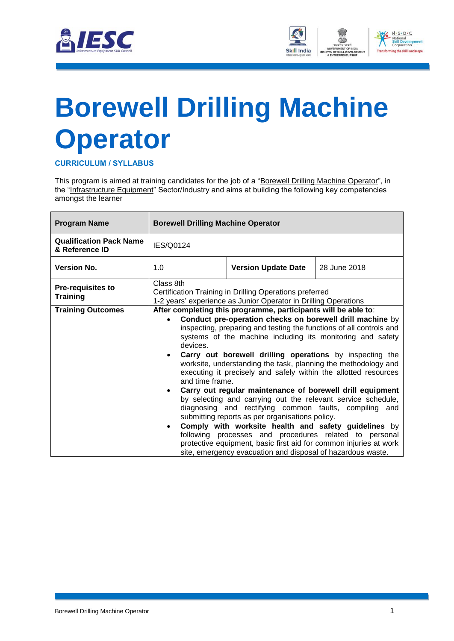



## <span id="page-3-0"></span>**[Borewell Drilling Machine](#page-2-0)  [Operator](#page-2-0)**

**CURRICULUM / SYLLABUS**

This program is aimed at training candidates for the job of a "Borewell Drilling Machine Operator", in the "Infrastructure Equipment" Sector/Industry and aims at building the following key competencies amongst the learner

| <b>Program Name</b>                              | <b>Borewell Drilling Machine Operator</b>                                                                                               |                                                                                                                                                                                                                                                                                                                                                                                                                                                                                                                                                                                                                                                                                                                                                                                                                                                                                                                                                                   |              |  |  |
|--------------------------------------------------|-----------------------------------------------------------------------------------------------------------------------------------------|-------------------------------------------------------------------------------------------------------------------------------------------------------------------------------------------------------------------------------------------------------------------------------------------------------------------------------------------------------------------------------------------------------------------------------------------------------------------------------------------------------------------------------------------------------------------------------------------------------------------------------------------------------------------------------------------------------------------------------------------------------------------------------------------------------------------------------------------------------------------------------------------------------------------------------------------------------------------|--------------|--|--|
| <b>Qualification Pack Name</b><br>& Reference ID | <b>IES/Q0124</b>                                                                                                                        |                                                                                                                                                                                                                                                                                                                                                                                                                                                                                                                                                                                                                                                                                                                                                                                                                                                                                                                                                                   |              |  |  |
| <b>Version No.</b>                               | 1.0                                                                                                                                     | <b>Version Update Date</b>                                                                                                                                                                                                                                                                                                                                                                                                                                                                                                                                                                                                                                                                                                                                                                                                                                                                                                                                        | 28 June 2018 |  |  |
| <b>Pre-requisites to</b><br><b>Training</b>      | Class 8th<br>Certification Training in Drilling Operations preferred<br>1-2 years' experience as Junior Operator in Drilling Operations |                                                                                                                                                                                                                                                                                                                                                                                                                                                                                                                                                                                                                                                                                                                                                                                                                                                                                                                                                                   |              |  |  |
| <b>Training Outcomes</b>                         | devices.<br>and time frame.<br>$\bullet$<br>$\bullet$                                                                                   | After completing this programme, participants will be able to:<br>Conduct pre-operation checks on borewell drill machine by<br>inspecting, preparing and testing the functions of all controls and<br>systems of the machine including its monitoring and safety<br>Carry out borewell drilling operations by inspecting the<br>worksite, understanding the task, planning the methodology and<br>executing it precisely and safely within the allotted resources<br>Carry out regular maintenance of borewell drill equipment<br>by selecting and carrying out the relevant service schedule,<br>diagnosing and rectifying common faults, compiling and<br>submitting reports as per organisations policy.<br>Comply with worksite health and safety guidelines by<br>following processes and procedures related to personal<br>protective equipment, basic first aid for common injuries at work<br>site, emergency evacuation and disposal of hazardous waste. |              |  |  |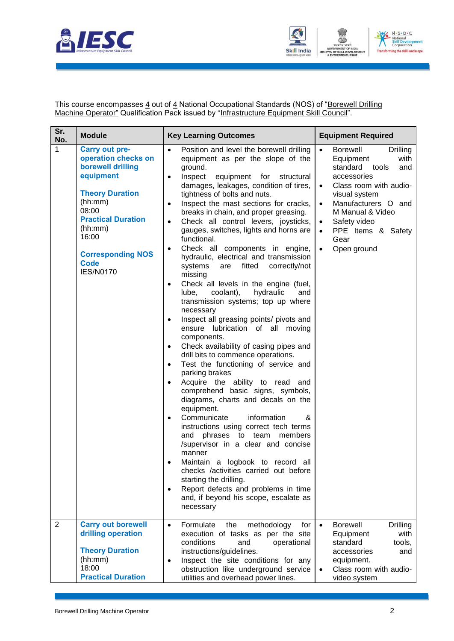



This course encompasses <u>4</u> out of <u>4</u> National Occupational Standards (NOS) of "<u>Borewell Drilling</u> Machine Operator" Qualification Pack issued by "Infrastructure Equipment Skill Council".

| Sr.<br>No.     | <b>Module</b>                                                                                                                                                                                                                                | <b>Key Learning Outcomes</b>                                                                                                                                                                                                                                                                                                                                                                                                                                                                                                                                                                                                                                                                                                                                                                                                                                                                                                                                                                                                                                                                                                                                                                                                                                                                                                                                                                                                                                                                                                                               | <b>Equipment Required</b>                                                                                                                                                                                                                                                                                       |
|----------------|----------------------------------------------------------------------------------------------------------------------------------------------------------------------------------------------------------------------------------------------|------------------------------------------------------------------------------------------------------------------------------------------------------------------------------------------------------------------------------------------------------------------------------------------------------------------------------------------------------------------------------------------------------------------------------------------------------------------------------------------------------------------------------------------------------------------------------------------------------------------------------------------------------------------------------------------------------------------------------------------------------------------------------------------------------------------------------------------------------------------------------------------------------------------------------------------------------------------------------------------------------------------------------------------------------------------------------------------------------------------------------------------------------------------------------------------------------------------------------------------------------------------------------------------------------------------------------------------------------------------------------------------------------------------------------------------------------------------------------------------------------------------------------------------------------------|-----------------------------------------------------------------------------------------------------------------------------------------------------------------------------------------------------------------------------------------------------------------------------------------------------------------|
| 1              | <b>Carry out pre-</b><br>operation checks on<br>borewell drilling<br>equipment<br><b>Theory Duration</b><br>(hh:mm)<br>08:00<br><b>Practical Duration</b><br>(hh:mm)<br>16:00<br><b>Corresponding NOS</b><br><b>Code</b><br><b>IES/N0170</b> | Position and level the borewell drilling<br>$\bullet$<br>equipment as per the slope of the<br>ground.<br>Inspect<br>equipment for structural<br>$\bullet$<br>damages, leakages, condition of tires,<br>tightness of bolts and nuts.<br>Inspect the mast sections for cracks,<br>$\bullet$<br>breaks in chain, and proper greasing.<br>Check all control levers, joysticks,<br>$\bullet$<br>gauges, switches, lights and horns are<br>functional.<br>Check all components in engine,<br>$\bullet$<br>hydraulic, electrical and transmission<br>systems<br>fitted<br>correctly/not<br>are<br>missing<br>Check all levels in the engine (fuel,<br>٠<br>coolant),<br>hydraulic<br>lube,<br>and<br>transmission systems; top up where<br>necessary<br>Inspect all greasing points/ pivots and<br>$\bullet$<br>ensure lubrication of all moving<br>components.<br>Check availability of casing pipes and<br>$\bullet$<br>drill bits to commence operations.<br>Test the functioning of service and<br>$\bullet$<br>parking brakes<br>Acquire the ability to read and<br>٠<br>comprehend basic signs, symbols,<br>diagrams, charts and decals on the<br>equipment.<br>Communicate<br>information<br>&<br>$\bullet$<br>instructions using correct tech terms<br>phrases to team<br>and<br>members<br>/supervisor in a clear and concise<br>manner<br>Maintain a logbook to record all<br>checks /activities carried out before<br>starting the drilling.<br>Report defects and problems in time<br>$\bullet$<br>and, if beyond his scope, escalate as<br>necessary | <b>Borewell</b><br>$\bullet$<br>Drilling<br>with<br>Equipment<br>standard<br>and<br>tools<br>accessories<br>Class room with audio-<br>$\bullet$<br>visual system<br>Manufacturers O and<br>$\bullet$<br>M Manual & Video<br>Safety video<br>$\bullet$<br>PPE Items & Safety<br>Gear<br>Open ground<br>$\bullet$ |
| $\overline{2}$ | <b>Carry out borewell</b><br>drilling operation<br><b>Theory Duration</b><br>(hh:mm)<br>18:00<br><b>Practical Duration</b>                                                                                                                   | Formulate<br>methodology<br>the<br>for<br>$\bullet$<br>execution of tasks as per the site<br>conditions<br>and<br>operational<br>instructions/guidelines.<br>Inspect the site conditions for any<br>$\bullet$<br>obstruction like underground service<br>utilities and overhead power lines.                                                                                                                                                                                                                                                                                                                                                                                                                                                                                                                                                                                                                                                                                                                                                                                                                                                                                                                                                                                                                                                                                                                                                                                                                                                               | <b>Borewell</b><br><b>Drilling</b><br>$\bullet$<br>with<br>Equipment<br>standard<br>tools,<br>accessories<br>and<br>equipment.<br>Class room with audio-<br>$\bullet$<br>video system                                                                                                                           |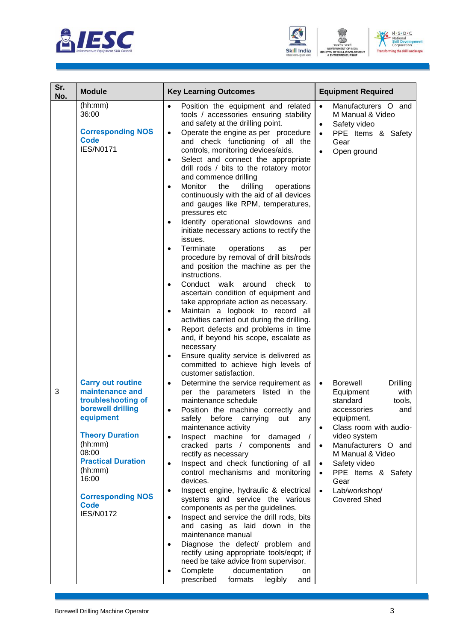





| Sr.<br>No. | <b>Module</b>                                                                                                                                                                                                                                                     | <b>Key Learning Outcomes</b>                                                                                                                                                                                                                                                                                                                                                                                                                                                                                                                                                                                                                                                                                                                                                                                                                                                                                                                                                                                                                                                                                                                                                                                                                           | <b>Equipment Required</b>                                                                                                                                                                                                                                                                                                                                                  |
|------------|-------------------------------------------------------------------------------------------------------------------------------------------------------------------------------------------------------------------------------------------------------------------|--------------------------------------------------------------------------------------------------------------------------------------------------------------------------------------------------------------------------------------------------------------------------------------------------------------------------------------------------------------------------------------------------------------------------------------------------------------------------------------------------------------------------------------------------------------------------------------------------------------------------------------------------------------------------------------------------------------------------------------------------------------------------------------------------------------------------------------------------------------------------------------------------------------------------------------------------------------------------------------------------------------------------------------------------------------------------------------------------------------------------------------------------------------------------------------------------------------------------------------------------------|----------------------------------------------------------------------------------------------------------------------------------------------------------------------------------------------------------------------------------------------------------------------------------------------------------------------------------------------------------------------------|
|            | (hh:mm)<br>36:00<br><b>Corresponding NOS</b><br><b>Code</b><br><b>IES/N0171</b>                                                                                                                                                                                   | Position the equipment and related<br>tools / accessories ensuring stability<br>and safety at the drilling point.<br>Operate the engine as per procedure<br>$\bullet$<br>and check functioning of all the<br>controls, monitoring devices/aids.<br>Select and connect the appropriate<br>$\bullet$<br>drill rods / bits to the rotatory motor<br>and commence drilling<br>Monitor<br>the<br>drilling<br>operations<br>$\bullet$<br>continuously with the aid of all devices<br>and gauges like RPM, temperatures,<br>pressures etc<br>Identify operational slowdowns and<br>٠<br>initiate necessary actions to rectify the<br>issues.<br>Terminate<br>operations<br>as<br>per<br>$\bullet$<br>procedure by removal of drill bits/rods<br>and position the machine as per the<br>instructions.<br>Conduct walk around<br>check<br>to<br>$\bullet$<br>ascertain condition of equipment and<br>take appropriate action as necessary.<br>Maintain a logbook to record all<br>$\bullet$<br>activities carried out during the drilling.<br>Report defects and problems in time<br>$\bullet$<br>and, if beyond his scope, escalate as<br>necessary<br>Ensure quality service is delivered as<br>committed to achieve high levels of<br>customer satisfaction. | Manufacturers O and<br>$\bullet$<br>M Manual & Video<br>Safety video<br>$\bullet$<br>PPE Items & Safety<br>$\bullet$<br>Gear<br>Open ground                                                                                                                                                                                                                                |
| 3          | <b>Carry out routine</b><br>maintenance and<br>troubleshooting of<br>borewell drilling<br>equipment<br><b>Theory Duration</b><br>(hh:mm)<br>08:00<br><b>Practical Duration</b><br>(hh:mm)<br>16:00<br><b>Corresponding NOS</b><br><b>Code</b><br><b>IES/N0172</b> | Determine the service requirement as<br>$\bullet$<br>per the parameters listed in the<br>maintenance schedule<br>Position the machine correctly and<br>$\bullet$<br>safely before carrying out any<br>maintenance activity<br>Inspect machine for damaged /<br>$\bullet$<br>cracked parts / components and<br>rectify as necessary<br>Inspect and check functioning of all<br>$\bullet$<br>control mechanisms and monitoring<br>devices.<br>Inspect engine, hydraulic & electrical<br>٠<br>systems and service the various<br>components as per the guidelines.<br>Inspect and service the drill rods, bits<br>$\bullet$<br>and casing as laid down in the<br>maintenance manual<br>Diagnose the defect/ problem and<br>$\bullet$<br>rectify using appropriate tools/eqpt; if<br>need be take advice from supervisor.<br>Complete<br>documentation<br>on<br>$\bullet$<br>prescribed<br>formats<br>legibly<br>and                                                                                                                                                                                                                                                                                                                                       | <b>Borewell</b><br><b>Drilling</b><br>$\bullet$<br>with<br>Equipment<br>standard<br>tools,<br>accessories<br>and<br>equipment.<br>Class room with audio-<br>$\bullet$<br>video system<br>Manufacturers O and<br>$\bullet$<br>M Manual & Video<br>Safety video<br>$\bullet$<br>PPE Items & Safety<br>$\bullet$<br>Gear<br>Lab/workshop/<br>$\bullet$<br><b>Covered Shed</b> |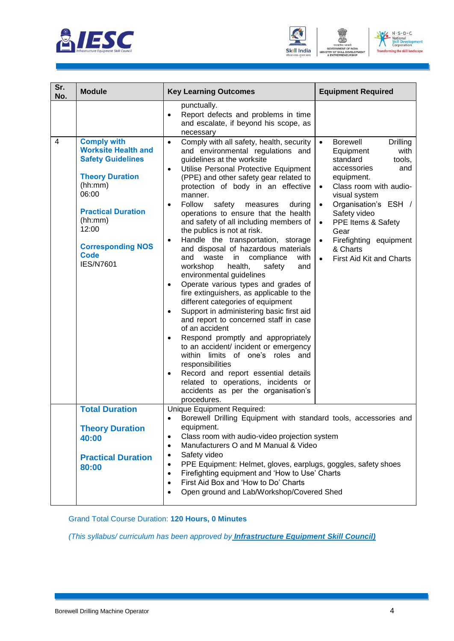





| Sr.<br>No.     | <b>Module</b>                                                                                                                                                                                                                              | <b>Key Learning Outcomes</b>                                                                                                                                                                                                                                                                                                                                                                                                                                                                                                                                                                                                                                                                                                                                                                                                                                                                                                                                                                                                                                                                                                                                                                 | <b>Equipment Required</b>                                                                                                                                                                                                                                                                                                                                      |
|----------------|--------------------------------------------------------------------------------------------------------------------------------------------------------------------------------------------------------------------------------------------|----------------------------------------------------------------------------------------------------------------------------------------------------------------------------------------------------------------------------------------------------------------------------------------------------------------------------------------------------------------------------------------------------------------------------------------------------------------------------------------------------------------------------------------------------------------------------------------------------------------------------------------------------------------------------------------------------------------------------------------------------------------------------------------------------------------------------------------------------------------------------------------------------------------------------------------------------------------------------------------------------------------------------------------------------------------------------------------------------------------------------------------------------------------------------------------------|----------------------------------------------------------------------------------------------------------------------------------------------------------------------------------------------------------------------------------------------------------------------------------------------------------------------------------------------------------------|
|                |                                                                                                                                                                                                                                            | punctually.<br>Report defects and problems in time<br>$\bullet$<br>and escalate, if beyond his scope, as<br>necessary                                                                                                                                                                                                                                                                                                                                                                                                                                                                                                                                                                                                                                                                                                                                                                                                                                                                                                                                                                                                                                                                        |                                                                                                                                                                                                                                                                                                                                                                |
| $\overline{4}$ | <b>Comply with</b><br><b>Worksite Health and</b><br><b>Safety Guidelines</b><br><b>Theory Duration</b><br>(hh:mm)<br>06:00<br><b>Practical Duration</b><br>(hh:mm)<br>12:00<br><b>Corresponding NOS</b><br><b>Code</b><br><b>IES/N7601</b> | Comply with all safety, health, security<br>$\bullet$<br>and environmental regulations and<br>guidelines at the worksite<br>Utilise Personal Protective Equipment<br>$\bullet$<br>(PPE) and other safety gear related to<br>protection of body in an effective<br>manner.<br>Follow<br>safety<br>measures<br>during<br>٠<br>operations to ensure that the health<br>and safety of all including members of<br>the publics is not at risk.<br>Handle the transportation, storage<br>$\bullet$<br>and disposal of hazardous materials<br>and<br>waste<br>in<br>compliance<br>with<br>health,<br>workshop<br>safety<br>and<br>environmental guidelines<br>Operate various types and grades of<br>$\bullet$<br>fire extinguishers, as applicable to the<br>different categories of equipment<br>Support in administering basic first aid<br>$\bullet$<br>and report to concerned staff in case<br>of an accident<br>Respond promptly and appropriately<br>٠<br>to an accident/ incident or emergency<br>within limits of one's roles and<br>responsibilities<br>Record and report essential details<br>related to operations, incidents or<br>accidents as per the organisation's<br>procedures. | <b>Borewell</b><br>Drilling<br>$\bullet$<br>with<br>Equipment<br>standard<br>tools,<br>accessories<br>and<br>equipment.<br>Class room with audio-<br>visual system<br>Organisation's ESH /<br>$\bullet$<br>Safety video<br>PPE Items & Safety<br>$\bullet$<br>Gear<br>Firefighting equipment<br>$\bullet$<br>& Charts<br>First Aid Kit and Charts<br>$\bullet$ |
|                | <b>Total Duration</b><br><b>Theory Duration</b><br>40:00<br><b>Practical Duration</b><br>80:00                                                                                                                                             | Unique Equipment Required:<br>Borewell Drilling Equipment with standard tools, accessories and<br>$\bullet$<br>equipment.<br>Class room with audio-video projection system<br>٠<br>Manufacturers O and M Manual & Video<br>$\bullet$<br>Safety video<br>٠<br>PPE Equipment: Helmet, gloves, earplugs, goggles, safety shoes<br>$\bullet$<br>Firefighting equipment and 'How to Use' Charts<br>$\bullet$<br>First Aid Box and 'How to Do' Charts<br>٠<br>Open ground and Lab/Workshop/Covered Shed<br>$\bullet$                                                                                                                                                                                                                                                                                                                                                                                                                                                                                                                                                                                                                                                                               |                                                                                                                                                                                                                                                                                                                                                                |

Grand Total Course Duration: **120 Hours, 0 Minutes**

*(This syllabus/ curriculum has been approved by Infrastructure Equipment Skill Council)*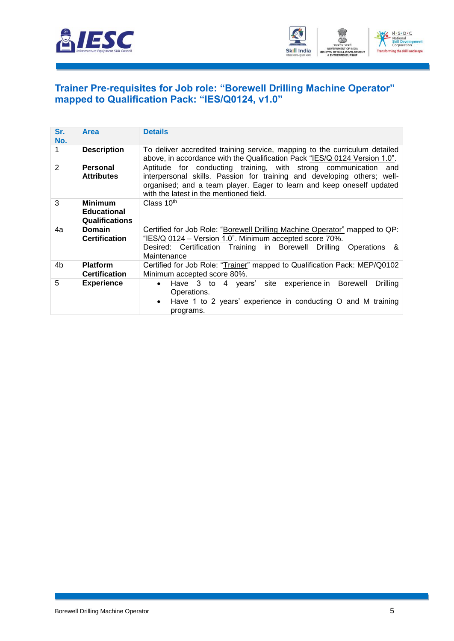



#### <span id="page-7-0"></span>**[Trainer Pre-requisites for Job role: "Borewell Drilling Machine Operator"](#page-2-1)  [mapped to Qualification Pack: "IES/Q0124, v1.0"](#page-2-1)**

| Sr.<br>No.     | <b>Area</b>                                                   | <b>Details</b>                                                                                                                                                                                                                                                    |
|----------------|---------------------------------------------------------------|-------------------------------------------------------------------------------------------------------------------------------------------------------------------------------------------------------------------------------------------------------------------|
| 1              | <b>Description</b>                                            | To deliver accredited training service, mapping to the curriculum detailed<br>above, in accordance with the Qualification Pack "IES/Q 0124 Version 1.0".                                                                                                          |
| $\overline{2}$ | <b>Personal</b><br><b>Attributes</b>                          | Aptitude for conducting training, with strong communication<br>and<br>interpersonal skills. Passion for training and developing others; well-<br>organised; and a team player. Eager to learn and keep oneself updated<br>with the latest in the mentioned field. |
| 3              | <b>Minimum</b><br><b>Educational</b><br><b>Qualifications</b> | Class $10th$                                                                                                                                                                                                                                                      |
| 4a             | <b>Domain</b><br><b>Certification</b>                         | Certified for Job Role: "Borewell Drilling Machine Operator" mapped to QP:<br>"IES/Q 0124 - Version 1.0". Minimum accepted score 70%.<br>Desired: Certification Training in Borewell Drilling Operations &<br>Maintenance                                         |
| 4b             | <b>Platform</b><br><b>Certification</b>                       | Certified for Job Role: "Trainer" mapped to Qualification Pack: MEP/Q0102<br>Minimum accepted score 80%.                                                                                                                                                          |
| 5              | <b>Experience</b>                                             | Have 3 to 4 years' site experience in Borewell<br>Drilling<br>$\bullet$<br>Operations.<br>Have 1 to 2 years' experience in conducting O and M training<br>$\bullet$<br>programs.                                                                                  |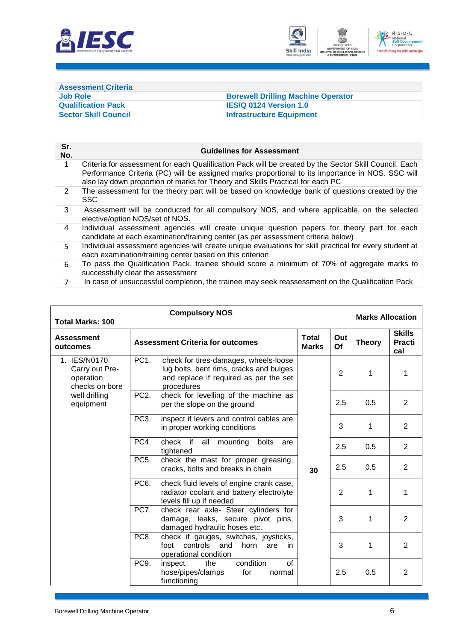



<span id="page-8-0"></span>

| <b>Assessment Criteria</b>  |                                           |
|-----------------------------|-------------------------------------------|
| Job Role                    | <b>Borewell Drilling Machine Operator</b> |
| <b>Qualification Pack</b>   | <b>IES/Q 0124 Version 1.0</b>             |
| <b>Sector Skill Council</b> | Infrastructure Equipment                  |

| Sr.<br>No.     | <b>Guidelines for Assessment</b>                                                                                                                                                                                                                                                           |
|----------------|--------------------------------------------------------------------------------------------------------------------------------------------------------------------------------------------------------------------------------------------------------------------------------------------|
| $\mathbf 1$    | Criteria for assessment for each Qualification Pack will be created by the Sector Skill Council. Each<br>Performance Criteria (PC) will be assigned marks proportional to its importance in NOS. SSC will<br>also lay down proportion of marks for Theory and Skills Practical for each PC |
| 2              | The assessment for the theory part will be based on knowledge bank of questions created by the<br><b>SSC</b>                                                                                                                                                                               |
| 3              | Assessment will be conducted for all compulsory NOS, and where applicable, on the selected<br>elective/option NOS/set of NOS.                                                                                                                                                              |
| 4              | Individual assessment agencies will create unique question papers for theory part for each<br>candidate at each examination/training center (as per assessment criteria below)                                                                                                             |
| 5.             | Individual assessment agencies will create unique evaluations for skill practical for every student at<br>each examination/training center based on this criterion                                                                                                                         |
| 6              | To pass the Qualification Pack, trainee should score a minimum of 70% of aggregate marks to<br>successfully clear the assessment                                                                                                                                                           |
| $\overline{7}$ | In case of unsuccessful completion, the trainee may seek reassessment on the Qualification Pack                                                                                                                                                                                            |

| <b>Compulsory NOS</b><br><b>Total Marks: 100</b>              |                   |                                                                                                                                          |                              | <b>Marks Allocation</b> |               |                                       |
|---------------------------------------------------------------|-------------------|------------------------------------------------------------------------------------------------------------------------------------------|------------------------------|-------------------------|---------------|---------------------------------------|
| <b>Assessment</b><br>outcomes                                 |                   | <b>Assessment Criteria for outcomes</b>                                                                                                  | <b>Total</b><br><b>Marks</b> | Out<br>Of               | <b>Theory</b> | <b>Skills</b><br><b>Practi</b><br>cal |
| 1. IES/N0170<br>Carry out Pre-<br>operation<br>checks on bore | PC <sub>1</sub> . | check for tires-damages, wheels-loose<br>lug bolts, bent rims, cracks and bulges<br>and replace if required as per the set<br>procedures |                              | 2                       | 1             | 1                                     |
| well drilling<br>equipment                                    | PC <sub>2</sub> . | check for levelling of the machine as<br>per the slope on the ground                                                                     |                              | 2.5                     | 0.5           | 2                                     |
|                                                               | PC <sub>3</sub> . | inspect if levers and control cables are<br>in proper working conditions                                                                 |                              | 3                       | 1             | $\overline{2}$                        |
|                                                               | PC4.              | check if all mounting<br>bolts<br>are<br>tightened                                                                                       |                              | 2.5                     | 0.5           | 2                                     |
|                                                               | PC <sub>5</sub> . | check the mast for proper greasing,<br>cracks, bolts and breaks in chain                                                                 | 30                           | 2.5                     | 0.5           | 2                                     |
|                                                               | PC <sub>6</sub> . | check fluid levels of engine crank case,<br>radiator coolant and battery electrolyte<br>levels fill up if needed                         |                              | $\overline{2}$          | 1             | 1                                     |
|                                                               | <b>PC7.</b>       | check rear axle- Steer cylinders for<br>damage, leaks, secure pivot pins,<br>damaged hydraulic hoses etc.                                |                              | 3                       | 1             | $\overline{2}$                        |
|                                                               | PC8.              | check if gauges, switches, joysticks,<br>controls<br>foot<br>and<br>horn<br>are<br>in<br>operational condition                           |                              | 3                       | 1             | $\overline{2}$                        |
|                                                               | PC9.              | condition<br>of<br>inspect<br>the<br>hose/pipes/clamps<br>for<br>normal<br>functioning                                                   |                              | 2.5                     | 0.5           | $\overline{2}$                        |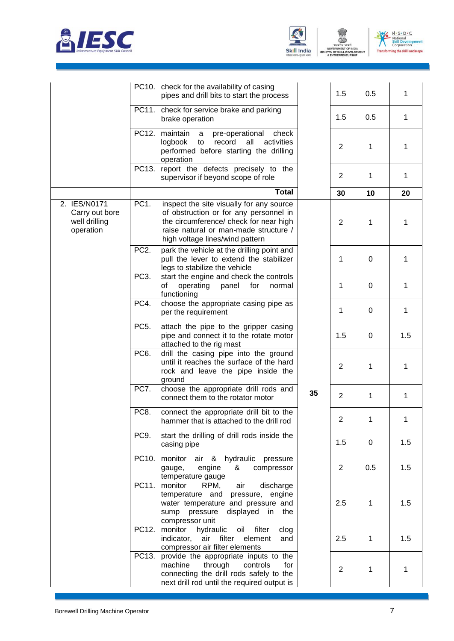



TRY OF

ENT

N - S - D - C<br>- National<br>Skill Development<br>Corporation  $V$ **Transfi** ing the skill landscape

|                                                              |                   | PC10. check for the availability of casing<br>pipes and drill bits to start the process                                                                                                                  |    | 1.5            | 0.5         | 1            |
|--------------------------------------------------------------|-------------------|----------------------------------------------------------------------------------------------------------------------------------------------------------------------------------------------------------|----|----------------|-------------|--------------|
|                                                              |                   | PC11. check for service brake and parking<br>brake operation                                                                                                                                             |    | 1.5            | 0.5         | 1            |
|                                                              | PC12.             | maintain<br>pre-operational<br>check<br>a<br>activities<br>logbook<br>record<br>all<br>to<br>performed before starting the drilling<br>operation                                                         |    | $\overline{2}$ | 1           | 1            |
|                                                              |                   | PC13. report the defects precisely to the<br>supervisor if beyond scope of role                                                                                                                          |    | $\overline{2}$ | 1           | 1            |
|                                                              |                   | <b>Total</b>                                                                                                                                                                                             |    | 30             | 10          | 20           |
| 2. IES/N0171<br>Carry out bore<br>well drilling<br>operation | PC <sub>1</sub> . | inspect the site visually for any source<br>of obstruction or for any personnel in<br>the circumference/ check for near high<br>raise natural or man-made structure /<br>high voltage lines/wind pattern |    | $\overline{2}$ | 1           | 1            |
|                                                              | PC <sub>2</sub> . | park the vehicle at the drilling point and<br>pull the lever to extend the stabilizer<br>legs to stabilize the vehicle                                                                                   |    | 1              | 0           | $\mathbf{1}$ |
|                                                              | PC <sub>3</sub> . | start the engine and check the controls<br>operating<br>panel<br>οf<br>for<br>normal<br>functioning                                                                                                      |    | 1              | 0           | 1            |
|                                                              | PC4.              | choose the appropriate casing pipe as<br>per the requirement                                                                                                                                             |    | 1              | 0           | 1            |
|                                                              | PC <sub>5</sub> . | attach the pipe to the gripper casing<br>pipe and connect it to the rotate motor<br>attached to the rig mast                                                                                             |    | 1.5            | 0           | 1.5          |
|                                                              | PC <sub>6</sub> . | drill the casing pipe into the ground<br>until it reaches the surface of the hard<br>rock and leave the pipe inside the<br>ground                                                                        |    | $\overline{2}$ | 1           | 1            |
|                                                              | PC7.              | choose the appropriate drill rods and<br>connect them to the rotator motor                                                                                                                               | 35 | $\overline{2}$ | 1           | 1            |
|                                                              | PC8.              | connect the appropriate drill bit to the<br>hammer that is attached to the drill rod                                                                                                                     |    | 2              | 1           |              |
|                                                              | PC9.              | start the drilling of drill rods inside the<br>casing pipe                                                                                                                                               |    | 1.5            | 0           | 1.5          |
|                                                              |                   | PC10. monitor<br>& hydraulic<br>air<br>pressure<br>&<br>gauge,<br>engine<br>compressor<br>temperature gauge                                                                                              |    | $\overline{2}$ | 0.5         | 1.5          |
|                                                              |                   | air<br>PC11. monitor<br>discharge<br>RPM,<br>temperature and<br>pressure, engine<br>water temperature and pressure and<br>sump pressure<br>displayed<br>in<br>the<br>compressor unit                     |    | 2.5            | 1           | 1.5          |
|                                                              | PC12.             | monitor hydraulic<br>oil<br>filter<br>clog<br>air filter<br>indicator,<br>element<br>and<br>compressor air filter elements                                                                               |    | 2.5            | $\mathbf 1$ | 1.5          |
|                                                              | PC13.             | provide the appropriate inputs to the<br>through<br>machine<br>controls<br>for<br>connecting the drill rods safely to the<br>next drill rod until the required output is                                 |    | $\overline{2}$ | 1           | 1            |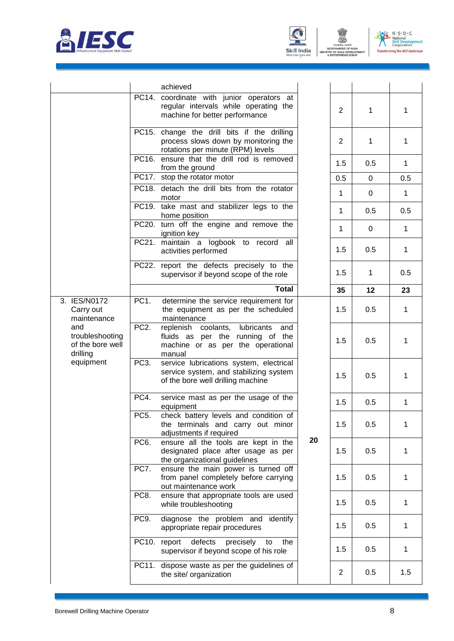



四



|                                                                     |                   | achieved                                                                                                                 |    |                |              |              |
|---------------------------------------------------------------------|-------------------|--------------------------------------------------------------------------------------------------------------------------|----|----------------|--------------|--------------|
|                                                                     |                   | PC14. coordinate with junior operators at<br>regular intervals while operating the<br>machine for better performance     |    | 2              | 1            | $\mathbf 1$  |
|                                                                     |                   | PC15. change the drill bits if the drilling<br>process slows down by monitoring the<br>rotations per minute (RPM) levels |    | 2              | 1            | $\mathbf 1$  |
|                                                                     |                   | PC16. ensure that the drill rod is removed<br>from the ground                                                            |    | 1.5            | 0.5          | $\mathbf{1}$ |
|                                                                     |                   | PC17. stop the rotator motor                                                                                             |    | 0.5            | 0            | 0.5          |
|                                                                     |                   | PC18. detach the drill bits from the rotator<br>motor                                                                    |    | $\mathbf{1}$   | 0            | $\mathbf{1}$ |
|                                                                     |                   | PC19. take mast and stabilizer legs to the<br>home position                                                              |    | 1              | 0.5          | 0.5          |
|                                                                     |                   | PC20. turn off the engine and remove the<br>ignition key                                                                 |    | $\mathbf{1}$   | 0            | $\mathbf{1}$ |
|                                                                     |                   | PC21. maintain a logbook to record all<br>activities performed                                                           |    | 1.5            | 0.5          | $\mathbf{1}$ |
|                                                                     |                   | PC22. report the defects precisely to the<br>supervisor if beyond scope of the role                                      |    | 1.5            | $\mathbf{1}$ | 0.5          |
|                                                                     |                   | <b>Total</b>                                                                                                             |    | 35             | 12           | 23           |
| 3. IES/N0172<br>Carry out<br>maintenance                            | PC1.              | determine the service requirement for<br>the equipment as per the scheduled<br>maintenance                               |    | 1.5            | 0.5          | $\mathbf{1}$ |
| and<br>troubleshooting<br>of the bore well<br>drilling<br>equipment | PC <sub>2</sub> . | replenish coolants, lubricants<br>and<br>fluids as per the running of the<br>machine or as per the operational<br>manual |    | 1.5            | 0.5          | $\mathbf 1$  |
|                                                                     | PC <sub>3</sub> . | service lubrications system, electrical<br>service system, and stabilizing system<br>of the bore well drilling machine   |    | 1.5            | 0.5          | $\mathbf{1}$ |
|                                                                     | PC4.              | service mast as per the usage of the<br>equipment                                                                        |    | 1.5            | 0.5          | $\mathbf{1}$ |
|                                                                     | PC5.              | check battery levels and condition of<br>the terminals and carry out minor<br>adjustments if required                    |    | 1.5            | 0.5          | $\mathbf 1$  |
|                                                                     | PC <sub>6</sub> . | ensure all the tools are kept in the<br>designated place after usage as per<br>the organizational guidelines             | 20 | 1.5            | 0.5          | $\mathbf{1}$ |
|                                                                     | PC7.              | ensure the main power is turned off<br>from panel completely before carrying<br>out maintenance work                     |    | 1.5            | 0.5          | 1            |
|                                                                     | PC8.              | ensure that appropriate tools are used<br>while troubleshooting                                                          |    | 1.5            | 0.5          | $\mathbf 1$  |
|                                                                     | PC9.              | diagnose the problem and identify<br>appropriate repair procedures                                                       |    | 1.5            | 0.5          | 1            |
|                                                                     | PC10.             | defects<br>report<br>precisely<br>the<br>to<br>supervisor if beyond scope of his role                                    |    | 1.5            | 0.5          | $\mathbf 1$  |
|                                                                     |                   | PC11. dispose waste as per the guidelines of<br>the site/ organization                                                   |    | $\overline{2}$ | 0.5          | 1.5          |
|                                                                     |                   |                                                                                                                          |    |                |              |              |